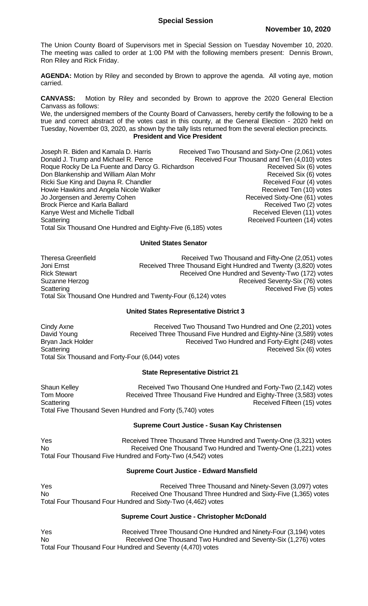The Union County Board of Supervisors met in Special Session on Tuesday November 10, 2020. The meeting was called to order at 1:00 PM with the following members present: Dennis Brown, Ron Riley and Rick Friday.

**AGENDA:** Motion by Riley and seconded by Brown to approve the agenda. All voting aye, motion carried.

**CANVASS:** Motion by Riley and seconded by Brown to approve the 2020 General Election Canvass as follows:

We, the undersigned members of the County Board of Canvassers, hereby certify the following to be a true and correct abstract of the votes cast in this county, at the General Election - 2020 held on Tuesday, November 03, 2020, as shown by the tally lists returned from the several election precincts. **President and Vice President**

Joseph R. Biden and Kamala D. Harris Received Two Thousand and Sixty-One (2,061) votes Donald J. Trump and Michael R. Pence Received Four Thousand and Ten (4,010) votes Roque Rocky De La Fuente and Darcy G. Richardson **Received Six (6)** votes Don Blankenship and William Alan Mohr **Received Six (6)** votes Ricki Sue King and Dayna R. Chandler Received Four (4) votes Howie Hawkins and Angela Nicole Walker Received Ten (10) votes Jo Jorgensen and Jeremy Cohen **Received Sixty-One (61)** votes Brock Pierce and Karla Ballard<br>
Kanye West and Michelle Tidball Mostan Received Eleven (11) votes Kanye West and Michelle Tidball Scattering **Scattering Received Fourteen (14)** votes Total Six Thousand One Hundred and Eighty-Five (6,185) votes

## **United States Senator**

Theresa Greenfield **Received Two Thousand and Fifty-One (2,051)** votes Joni Ernst **Received Three Thousand Eight Hundred and Twenty (3,820) votes** Rick Stewart **Rick Stewart** Received One Hundred and Seventy-Two (172) votes Suzanne Herzog **Received Seventy-Six (76)** votes Scattering **Scattering Received Five (5)** votes Total Six Thousand One Hundred and Twenty-Four (6,124) votes

# **United States Representative District 3**

Cindy Axne **Received Two Thousand Two Hundred and One (2,201) votes**<br>David Young **Received Three Thousand Five Hundred and Eighty-Nine (3,589) votes** Received Three Thousand Five Hundred and Eighty-Nine (3,589) votes Bryan Jack Holder **Received Two Hundred and Forty-Eight (248)** votes Scattering **Received Six (6)** votes Total Six Thousand and Forty-Four (6,044) votes

### **State Representative District 21**

Shaun Kelley **Received Two Thousand One Hundred and Forty-Two (2,142)** votes Tom Moore **Received Three Thousand Five Hundred and Eighty-Three (3,583) votes** Scattering **Received Fifteen (15)** votes Total Five Thousand Seven Hundred and Forty (5,740) votes

## **Supreme Court Justice - Susan Kay Christensen**

Yes **Received Three Thousand Three Hundred and Twenty-One (3,321) votes** No Received One Thousand Two Hundred and Twenty-One (1,221) votes Total Four Thousand Five Hundred and Forty-Two (4,542) votes

### **Supreme Court Justice - Edward Mansfield**

Yes **Received Three Thousand and Ninety-Seven (3,097) votes** No Received One Thousand Three Hundred and Sixty-Five (1,365) votes Total Four Thousand Four Hundred and Sixty-Two (4,462) votes

### **Supreme Court Justice - Christopher McDonald**

Yes **Received Three Thousand One Hundred and Ninety-Four (3,194) votes** No Received One Thousand Two Hundred and Seventy-Six (1,276) votes Total Four Thousand Four Hundred and Seventy (4,470) votes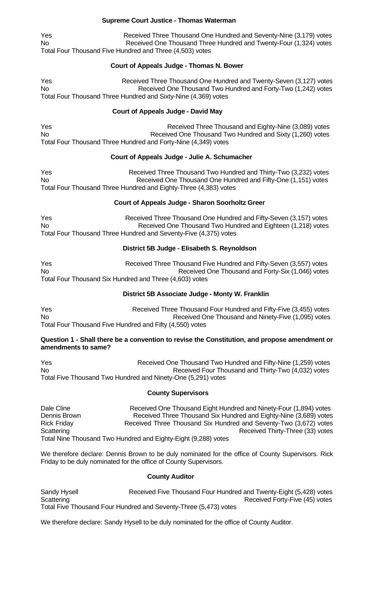## **Supreme Court Justice - Thomas Waterman**

Yes **Received Three Thousand One Hundred and Seventy-Nine (3,179) votes** No Received One Thousand Three Hundred and Twenty-Four (1,324) votes Total Four Thousand Five Hundred and Three (4,503) votes

## **Court of Appeals Judge - Thomas N. Bower**

Yes **Received Three Thousand One Hundred and Twenty-Seven (3,127) votes** No Received One Thousand Two Hundred and Forty-Two (1,242) votes Total Four Thousand Three Hundred and Sixty-Nine (4,369) votes

## **Court of Appeals Judge - David May**

Yes The Received Three Thousand and Eighty-Nine (3,089) votes No Received One Thousand Two Hundred and Sixty (1,260) votes Total Four Thousand Three Hundred and Forty-Nine (4,349) votes

## **Court of Appeals Judge - Julie A. Schumacher**

Yes **Received Three Thousand Two Hundred and Thirty-Two (3,232) votes** No Received One Thousand One Hundred and Fifty-One (1,151) votes Total Four Thousand Three Hundred and Eighty-Three (4,383) votes

## **Court of Appeals Judge - Sharon Soorholtz Greer**

Yes The Received Three Thousand One Hundred and Fifty-Seven (3,157) votes No **Received One Thousand Two Hundred and Eighteen** (1,218) votes Total Four Thousand Three Hundred and Seventy-Five (4,375) votes

## **District 5B Judge - Elisabeth S. Reynoldson**

Yes **Received Three Thousand Five Hundred and Fifty-Seven (3,557) votes** No Received One Thousand and Forty-Six (1,046) votes Total Four Thousand Six Hundred and Three (4,603) votes

# **District 5B Associate Judge - Monty W. Franklin**

Yes **Received Three Thousand Four Hundred and Fifty-Five (3,455) votes** No Received One Thousand and Ninety-Five (1,095) votes Total Four Thousand Five Hundred and Fifty (4,550) votes

## **Question 1 - Shall there be a convention to revise the Constitution, and propose amendment or amendments to same?**

Yes **Received One Thousand Two Hundred and Fifty-Nine (1,259) votes** No Received Four Thousand and Thirty-Two (4,032) votes Total Five Thousand Two Hundred and Ninety-One (5,291) votes

### **County Supervisors**

Dale Cline **Received One Thousand Eight Hundred and Ninety-Four (1,894) votes** Dennis Brown **Received Three Thousand Six Hundred and Eighty-Nine (3,689) votes** Rick Friday **Received Three Thousand Six Hundred and Seventy-Two (3,672) votes** Scattering **Scattering Received Thirty-Three (33) votes** Total Nine Thousand Two Hundred and Eighty-Eight (9,288) votes

We therefore declare: Dennis Brown to be duly nominated for the office of County Supervisors. Rick Friday to be duly nominated for the office of County Supervisors.

### **County Auditor**

Sandy Hysell Received Five Thousand Four Hundred and Twenty-Eight (5,428) votes Scattering **Received Forty-Five (45) votes** Scattering Total Five Thousand Four Hundred and Seventy-Three (5,473) votes

We therefore declare: Sandy Hysell to be duly nominated for the office of County Auditor.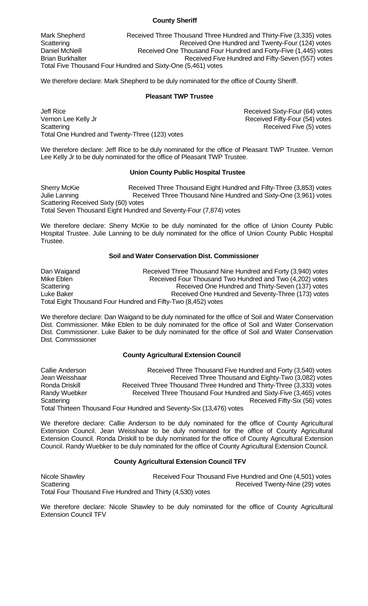### **County Sheriff**

Mark Shepherd **Received Three Thousand Three Hundred and Thirty-Five (3,335) votes** Scattering **Scattering** Received One Hundred and Twenty-Four (124) votes Daniel McNeill **Received One Thousand Four Hundred and Forty-Five (1,445) votes** Brian Burkhalter Received Five Hundred and Fifty-Seven (557) votes Total Five Thousand Four Hundred and Sixty-One (5,461) votes

We therefore declare: Mark Shepherd to be duly nominated for the office of County Sheriff.

#### **Pleasant TWP Trustee**

Jeff Rice **Network** Sixty-Four (64) votes Vernon Lee Kelly Jr **Network** Control of the Received Fifty-Four (54) votes Scattering **Received Five (5)** votes Total One Hundred and Twenty-Three (123) votes

We therefore declare: Jeff Rice to be duly nominated for the office of Pleasant TWP Trustee. Vernon Lee Kelly Jr to be duly nominated for the office of Pleasant TWP Trustee.

### **Union County Public Hospital Trustee**

Sherry McKie **Received Three Thousand Eight Hundred and Fifty-Three (3,853) votes** Julie Lanning Received Three Thousand Nine Hundred and Sixty-One (3,961) votes Scattering Received Sixty (60) votes Total Seven Thousand Eight Hundred and Seventy-Four (7,874) votes

We therefore declare: Sherry McKie to be duly nominated for the office of Union County Public Hospital Trustee. Julie Lanning to be duly nominated for the office of Union County Public Hospital Trustee.

### **Soil and Water Conservation Dist. Commissioner**

Dan Waigand **Received Three Thousand Nine Hundred and Forty (3,940) votes** Mike Eblen **Received Four Thousand Two Hundred and Two** (4,202) votes Scattering **Received One Hundred and Thirty-Seven (137)** votes Luke Baker **Received One Hundred and Seventy-Three (173)** votes Total Eight Thousand Four Hundred and Fifty-Two (8,452) votes

We therefore declare: Dan Waigand to be duly nominated for the office of Soil and Water Conservation Dist. Commissioner. Mike Eblen to be duly nominated for the office of Soil and Water Conservation Dist. Commissioner. Luke Baker to be duly nominated for the office of Soil and Water Conservation Dist. Commissioner

### **County Agricultural Extension Council**

Callie Anderson Received Three Thousand Five Hundred and Forty (3,540) votes Jean Weisshaar Received Three Thousand and Eighty-Two (3,082) votes Ronda Driskill **Received Three Thousand Three Hundred and Thirty-Three (3,333) votes** Randy Wuebker Received Three Thousand Four Hundred and Sixty-Five (3,465) votes Scattering **Scattering Received Fifty-Six (56)** votes Total Thirteen Thousand Four Hundred and Seventy-Six (13,476) votes

We therefore declare: Callie Anderson to be duly nominated for the office of County Agricultural Extension Council. Jean Weisshaar to be duly nominated for the office of County Agricultural Extension Council. Ronda Driskill to be duly nominated for the office of County Agricultural Extension Council. Randy Wuebker to be duly nominated for the office of County Agricultural Extension Council.

### **County Agricultural Extension Council TFV**

Nicole Shawley **Received Four Thousand Five Hundred and One (4,501)** votes Scattering **Received Twenty-Nine (29) votes** Scattering Total Four Thousand Five Hundred and Thirty (4,530) votes

We therefore declare: Nicole Shawley to be duly nominated for the office of County Agricultural Extension Council TFV